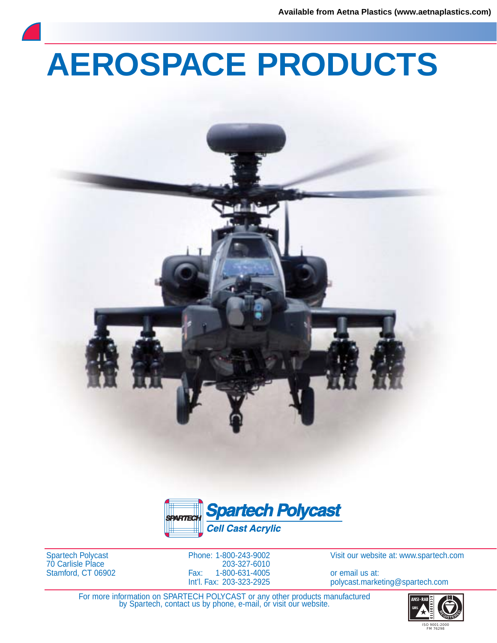# **AEROSPACE PRODUCTS**





Spartech Polycast 70 Carlisle Place Stamford, CT 06902 Phone: 1-800-243-9002 203-327-6010 Fax: 1-800-631-4005 Int'l. Fax: 203-323-2925

Visit our website at: www.spartech.com

or email us at: polycast.marketing@spartech.com

For more information on SPARTECH POLYCAST or any other products manufactured by Spartech, contact us by phone, e-mail, or visit our website.

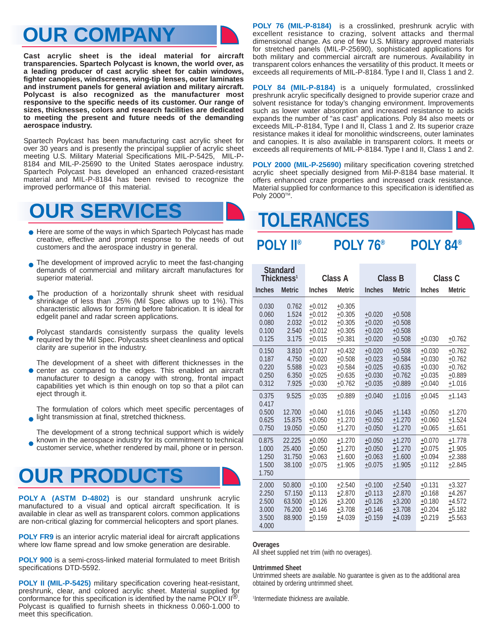## **OUR COMPANY**

**Cast acrylic sheet is the ideal material for aircraft transparencies. Spartech Polycast is known, the world over, as a leading producer of cast acrylic sheet for cabin windows, fighter canopies, windscreens, wing-tip lenses, outer laminates and instrument panels for general aviation and military aircraft. Polycast is also recognized as the manufacturer most responsive to the specific needs of its customer. Our range of sizes, thicknesses, colors and research facilities are dedicated to meeting the present and future needs of the demanding aerospace industry.**

Spartech Poylcast has been manufacturing cast acrylic sheet for over 30 years and is presently the principal supplier of acrylic sheet meeting U.S. Military Material Specifications MIL-P-5425, MIL-P-8184 and MIL-P-25690 to the United States aerospace industry. Spartech Polycast has developed an enhanced crazed-resistant material and MIL-P-8184 has been revised to recognize the improved performance of this material.



- Here are some of the ways in which Spartech Polycast has made creative, effective and prompt response to the needs of out customers and the aerospace industry in general.
- The development of improved acrylic to meet the fast-changing  $\bullet$ demands of commercial and military aircraft manufactures for superior material.
- The production of a horizontally shrunk sheet with residual shrinkage of less than .25% (Mil Spec allows up to 1%). This characteristic allows for forming before fabrication. It is ideal for edgelit panel and radar screen applications.
- Polycast standards consistently surpass the quality levels required by the Mil Spec. Polycasts sheet cleanliness and optical clarity are superior in the industry.
- The development of a sheet with different thicknesses in the center as compared to the edges. This enabled an aircraft manufacturer to design a canopy with strong, frontal impact capabilities yet which is thin enough on top so that a pilot can eject through it.

The formulation of colors which meet specific percentages of light transmission at final, stretched thickness.

The development of a strong technical support which is widely known in the aerospace industry for its commitment to technical customer service, whether rendered by mail, phone or in person.

## **OUR PRODUCTS**

**POLY A (ASTM D-4802)** is our standard unshrunk acrylic manufactured to a visual and optical aircraft specification. It is available in clear as well as transparent colors. common applications are non-critical glazing for commercial helicopters and sport planes.

**POLY FR9** is an interior acrylic material ideal for aircraft applications where low flame spread and low smoke generation are desirable.

**POLY 900** is a semi-cross-linked material formulated to meet British specifications DTD-5592.

**POLY II (MIL-P-5425)** military specification covering heat-resistant, preshrunk, clear, and colored acrylic sheet. Material supplied for conformance for this specification is identified by the name POLY II®. Polycast is qualified to furnish sheets in thickness 0.060-1.000 to meet this specification.

**POLY 76 (MIL-P-8184)** is a crosslinked, preshrunk acrylic with excellent resistance to crazing, solvent attacks and thermal dimensional change. As one of few U.S. Military approved materials for stretched panels (MIL-P-25690), sophisticated applications for both military and commercial aircraft are numerous. Availability in transparent colors enhances the versatility of this product. It meets or exceeds all requirements of MIL-P-8184. Type I and II, Class 1 and 2.

**POLY 84 (MIL-P-8184)** is a uniquely formulated, crosslinked preshrunk acrylic specifically designed to provide superior craze and solvent resistance for today's changing environment. Improvements such as lower water absorption and increased resistance to acids expands the number of "as cast" applications. Poly 84 also meets or exceeds MIL-P-8184, Type I and II, Class 1 and 2. Its superior craze resistance makes it ideal for monolithic windscreens, outer laminates and canopies. It is also available in transparent colors. It meets or exceeds all requirements of MIL-P-8184. Type I and II, Class 1 and 2.

**POLY 2000 (MIL-P-25690)** military specification covering stretched acrylic sheet specially designed from Mil-P-8184 base material. It offers enhanced craze properties and increased crack resistance. Material supplied for conformance to this specification is identified as Poly 2000<sup>TM</sup>.

## **TOLERANCES**

## **POLY II® POLY 76® POLY 84®**

| Standard<br>Thickness <sup>1</sup>                 |                                                |                                                          | <b>Class A</b>                                           |                                                          | <b>Class B</b>                                           | <b>Class C</b>                                           |                                                          |  |  |
|----------------------------------------------------|------------------------------------------------|----------------------------------------------------------|----------------------------------------------------------|----------------------------------------------------------|----------------------------------------------------------|----------------------------------------------------------|----------------------------------------------------------|--|--|
| <b>Inches</b>                                      | <b>Metric</b>                                  | <b>Inches</b><br><b>Metric</b>                           |                                                          | <b>Inches</b>                                            | <b>Metric</b>                                            |                                                          | <b>Metric</b>                                            |  |  |
| 0.030<br>0.060<br>0.080<br>0.100<br>0.125          | 0.762<br>1.524<br>2.032<br>2.540<br>3.175      | $+0.012$<br>$+0.012$<br>$+0.012$<br>$+0.012$<br>$+0.015$ | $+0.305$<br>$+0.305$<br>$+0.305$<br>$+0.305$<br>$+0.381$ | $+0.020$<br>$+0.020$<br>$+0.020$<br>$+0.020$             | $+0.508$<br>$+0.508$<br>$+0.508$<br>$+0.508$             | $+0.030$                                                 | $+0.762$                                                 |  |  |
| 0.150<br>0.187<br>0.220<br>0.250<br>0.312          | 3.810<br>4.750<br>5.588<br>6.350<br>7.925      | $+0.017$<br>$+0.020$<br>$+0.023$<br>$+0.025$<br>$+0.030$ | $+0.432$<br>$+0.508$<br>$+0.584$<br>$+0.635$<br>$+0.762$ | $+0.020$<br>$+0.023$<br>$+0.025$<br>$+0.030$<br>$+0.035$ | $+0.508$<br>$+0.584$<br>$+0.635$<br>$+0.762$<br>$+0.889$ | $+0.030$<br>$+0.030$<br>$+0.030$<br>$+0.035$<br>$+0.040$ | $+0.762$<br>$+0.762$<br>$+0.762$<br>±0.889<br>$+1.016$   |  |  |
| 0.375<br>0.417<br>0.500<br>0.625<br>0.750          | 9.525<br>12.700<br>15.875<br>19.050            | $+0.035$<br>$+0.040$<br>$+0.050$<br>$+0.050$             | $+0.889$<br>$+1.016$<br>$+1.270$<br>$+1.270$             | $+0.040$<br>$+0.045$<br>$+0.050$<br>$+0.050$             | $+1.016$<br>$+1.143$<br>$+1.270$<br>$+1.270$             | $+0.045$<br>$+0.050$<br>$+0.060$<br>$+0.065$             | $+1.143$<br>$+1.270$<br>$+1.524$<br>$+1.651$             |  |  |
| 0.875<br>1.000<br>1.250<br>1.500<br>1.750          | 22.225<br>25.400<br>31.750<br>38.100           | $+0.050$<br>$+0.050$<br>$+0.063$<br>$+0.075$             | $+1.270$<br>$+1.270$<br>$+1.600$<br>$+1.905$             | $+0.050$<br>$+0.050$<br>$+0.063$<br>$+0.075$             | $+1.270$<br>$+1.270$<br>$+1.600$<br>$+1.905$             | $+0.070$<br>$+0.075$<br>$+0.094$<br>$+0.112$             | $+1.778$<br>$+1.905$<br>$+2.388$<br>$+2.845$             |  |  |
| 2.000<br>2.250<br>2.500<br>3.000<br>3.500<br>4.000 | 50.800<br>57.150<br>63.500<br>76.200<br>88,900 | $+0.100$<br>$+0.113$<br>$+0.126$<br>$+0.146$<br>$+0.159$ | $+2.540$<br>$+2.870$<br>$+3.200$<br>$+3.708$<br>$+4.039$ | $+0.100$<br>$+0.113$<br>$+0.126$<br>$+0.146$<br>$+0.159$ | $+2.540$<br>$+2.870$<br>$+3.200$<br>$+3.708$<br>$+4.039$ | $+0.131$<br>$+0.168$<br>$+0.180$<br>$+0.204$<br>$+0.219$ | $+3.327$<br>$+4.267$<br>$+4.572$<br>$+5.182$<br>$+5.563$ |  |  |

### **Overages**

All sheet supplied net trim (with no overages).

### **Untrimmed Sheet**

Untrimmed sheets are available. No guarantee is given as to the additional area obtained by ordering untrimmed sheet.

1 Intermediate thickness are available.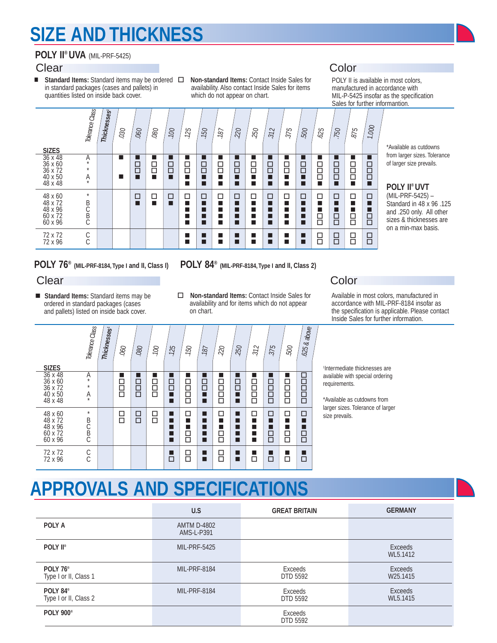## **SIZE AND THICKNESS**

### **POLY II® UVA** (MIL-PRF-5425)

■ Standard Items: Standard items may be ordered  $\Box$  Non-standard Items: Contact Inside Sales for in standard packages (cases and pallets) in quantities listed on inside back cover.

**Thicknesses1**

availability. Also contact Inside Sales for items which do not appear on chart.

 $\sqrt{2}$ 

## **Clear** Color

POLY II is available in most colors, manufactured in accordance with MIL-P-5425 insofar as the specification Sales for further informantion.  $\top$  $\top$ 

| <b>SIZES</b>                                               | Tolerance Class             | Thicknesses <sup>®</sup> | 030 | 060                      | 080      | 100              | 125              | 150 | 187                        | 220 | 250         | 312                        | 375                      | 500                   | 625                   | 750                        | 875                      | 1.000            | *Available as                                                            |
|------------------------------------------------------------|-----------------------------|--------------------------|-----|--------------------------|----------|------------------|------------------|-----|----------------------------|-----|-------------|----------------------------|--------------------------|-----------------------|-----------------------|----------------------------|--------------------------|------------------|--------------------------------------------------------------------------|
| $36 \times 48$<br>36 x 60<br>36 x 72<br>40 x 50<br>48 x 48 | $\mathcal{A}_{*}$<br>Ą      |                          | m   | ■<br>8<br>П              | <u>음</u> | $\Box$<br>$\Box$ | ٠<br>8<br>٦<br>п | 吕   | ■<br>$\Xi$<br>п<br>п       | 吕   | □<br>$\Box$ | ■<br>8<br>П<br>■           | 日<br>0<br>■              | $\Xi$<br>П<br>п       | $\Box$<br>$\Box$<br>□ | $\Xi$<br>$\Box$<br>٦       | 目日<br>п                  | 8<br>ō<br>П      | from larger si:<br>of larger size<br>POLY II <sup>®</sup>                |
| 48 x 60<br>48 x 72<br>$48 \times 96$<br>60 x 72<br>60 x 96 | $\star$<br>B<br>C<br>B<br>C |                          |     | $\overline{\phantom{a}}$ | □<br>п   | $\Box$<br>п      | □<br>п<br>٠<br>п | □   | $\Box$<br>п<br>п<br>п<br>п | □   | □<br>п      | $\Box$<br>П<br>■<br>■<br>П | □<br>$\blacksquare$<br>■ | □<br>п<br>■<br>П<br>П | □<br>□<br>$\Box$      | □<br>٦<br>$\Box$<br>$\Box$ | □<br>■<br>$\overline{a}$ | □<br>П<br>■<br>吕 | (MIL-PRF-5<br>Standard in<br>and .250 on<br>sizes & thick<br>on a min-ma |
| 72 x 72<br>72 x 96                                         | C<br>Č                      |                          |     |                          |          |                  | ┙<br>٦           |     | п<br>п                     | ш   |             | ш<br>п                     | ■<br>■                   | п<br>п                | □<br>$\Box$           | 吕                          | $\Xi$                    | $\Xi$            |                                                                          |

 $\overline{\phantom{0}}$ 

cutdowns izes. Tolerance prevails.

### **POLY II® UVT**

 $(425) -$ Standard in 48 x 96 .125 hly. All other knesses are ax basis.

### **POLY 76® (MIL-PRF-8184, Type I and II, Class I) POLY 84® (MIL-PRF-8184, Type I and II, Class 2)**

- **Standard Items:** Standard items may be ordered in standard packages (cases and pallets) listed on inside back cover.
- 
- □ **Non-standard Items:** Contact Inside Sales for availability and for items which do not appear on chart.

### **Clear** Color

Available in most colors, manufactured in accordance with MIL-PRF-8184 insofar as the specification is applicable. Please contact Inside Sales for further information.

| <b>SIZES</b>                                               | Tolerance Class               | Thicknesses <sup>®</sup> | 060                   | 080         | .100        | .125                   | 150         | 187                                       | $\approx$                  | 250                   | 312         | 375              | .500                  | $.625$ & above        |
|------------------------------------------------------------|-------------------------------|--------------------------|-----------------------|-------------|-------------|------------------------|-------------|-------------------------------------------|----------------------------|-----------------------|-------------|------------------|-----------------------|-----------------------|
| $36 \times 48$<br>36 x 60<br>36 x 72<br>40 x 50<br>48 x 48 | Α<br>$^\star$<br>$\star$<br>Ą |                          | ▅<br>2<br>2<br>2<br>2 | - 1<br>200  | 日日          | - 1<br>$\Xi$<br>π<br>п | □<br>目<br>П | - 1<br>□<br>$\Box$<br>$\blacksquare$<br>┓ | - 1<br>□<br>百日<br>$\Box$   | 日<br>ロ<br>■<br>■      | 8888<br>889 | □<br>目<br>$\Box$ | ٠<br>□<br>Ē<br>П      | 0000<br>0000          |
| 48 x 60<br>48 x 72<br>48 x 96<br>60 x 72<br>60 x 96        | $^{\star}$<br><b>BCBC</b>     |                          | ◻<br>П                | □<br>$\Box$ | □<br>$\Box$ | ۳<br>۳<br>۳<br>п<br>┓  | П<br>П<br>□ | ۳<br>п<br>۳<br>■<br>┓                     | □<br>■<br>۳<br>□<br>$\Box$ | ٠<br>٠<br>П<br>٠<br>П | П<br>٠      | □<br>П<br>□      | П<br>■<br>□<br>$\Box$ | □<br>■<br>٦<br>8<br>0 |
| 72 x 72<br>72 x 96                                         | $\frac{C}{C}$                 |                          |                       |             |             | $\Box$                 | □<br>$\Box$ | ٠                                         | □<br>$\Box$                | ■<br>۳                | П           | □                | - 1<br>п              | ■<br>$\Box$           |

1 Intermediate thicknesses are available with special ordering requirements.

\*Available as cutdowns from larger sizes. Tolerance of larger size prevails.

## **APPROVALS AND SPECIFICATIONS**

|                                               | U.S                              | <b>GREAT BRITAIN</b>       | <b>GERMANY</b>                         |
|-----------------------------------------------|----------------------------------|----------------------------|----------------------------------------|
| <b>POLY A</b>                                 | <b>AMTM D-4802</b><br>AMS-L-P391 |                            |                                        |
| <b>POLY II</b> ®                              | <b>MIL-PRF-5425</b>              |                            | Exceeds<br>WL5.1412                    |
| POLY 76 <sup>®</sup><br>Type I or II, Class 1 | <b>MIL-PRF-8184</b>              | Exceeds<br><b>DTD 5592</b> | <b>Exceeds</b><br>W <sub>25.1415</sub> |
| POLY 84 <sup>®</sup><br>Type I or II, Class 2 | MIL-PRF-8184                     | Exceeds<br><b>DTD 5592</b> | <b>Exceeds</b><br>WL5.1415             |
| <b>POLY 900</b> <sup>®</sup>                  |                                  | Exceeds<br><b>DTD 5592</b> |                                        |